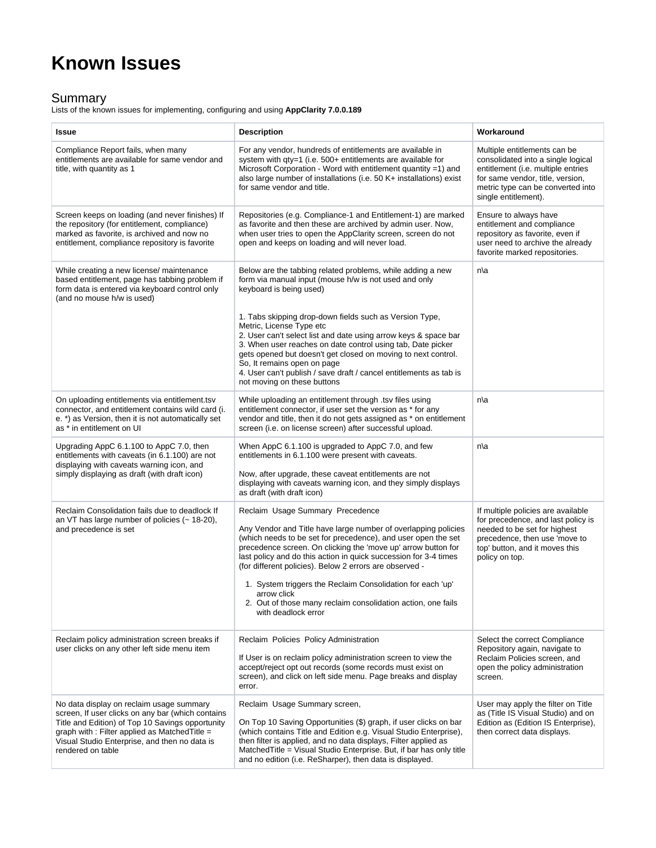## **Known Issues**

## Summary

Lists of the known issues for implementing, configuring and using **AppClarity 7.0.0.189**

| <b>Issue</b>                                                                                                                                                                                                                                                              | <b>Description</b>                                                                                                                                                                                                                                                                                                                                                                                                                                                                                                                      | Workaround                                                                                                                                                                                                |
|---------------------------------------------------------------------------------------------------------------------------------------------------------------------------------------------------------------------------------------------------------------------------|-----------------------------------------------------------------------------------------------------------------------------------------------------------------------------------------------------------------------------------------------------------------------------------------------------------------------------------------------------------------------------------------------------------------------------------------------------------------------------------------------------------------------------------------|-----------------------------------------------------------------------------------------------------------------------------------------------------------------------------------------------------------|
| Compliance Report fails, when many<br>entitlements are available for same vendor and<br>title, with quantity as 1                                                                                                                                                         | For any vendor, hundreds of entitlements are available in<br>system with qty=1 (i.e. 500+ entitlements are available for<br>Microsoft Corporation - Word with entitlement quantity $=1$ ) and<br>also large number of installations (i.e. 50 K+ installations) exist<br>for same vendor and title.                                                                                                                                                                                                                                      | Multiple entitlements can be<br>consolidated into a single logical<br>entitlement (i.e. multiple entries<br>for same vendor, title, version,<br>metric type can be converted into<br>single entitlement). |
| Screen keeps on loading (and never finishes) If<br>the repository (for entitlement, compliance)<br>marked as favorite, is archived and now no<br>entitlement, compliance repository is favorite                                                                           | Repositories (e.g. Compliance-1 and Entitlement-1) are marked<br>as favorite and then these are archived by admin user. Now,<br>when user tries to open the AppClarity screen, screen do not<br>open and keeps on loading and will never load.                                                                                                                                                                                                                                                                                          | Ensure to always have<br>entitlement and compliance<br>repository as favorite, even if<br>user need to archive the already<br>favorite marked repositories.                                               |
| While creating a new license/ maintenance<br>based entitlement, page has tabbing problem if<br>form data is entered via keyboard control only<br>(and no mouse h/w is used)                                                                                               | Below are the tabbing related problems, while adding a new<br>form via manual input (mouse h/w is not used and only<br>keyboard is being used)                                                                                                                                                                                                                                                                                                                                                                                          | n\a                                                                                                                                                                                                       |
|                                                                                                                                                                                                                                                                           | 1. Tabs skipping drop-down fields such as Version Type,<br>Metric, License Type etc<br>2. User can't select list and date using arrow keys & space bar<br>3. When user reaches on date control using tab, Date picker<br>gets opened but doesn't get closed on moving to next control.<br>So, It remains open on page<br>4. User can't publish / save draft / cancel entitlements as tab is<br>not moving on these buttons                                                                                                              |                                                                                                                                                                                                           |
| On uploading entitlements via entitlement.tsv<br>connector, and entitlement contains wild card (i.<br>e. *) as Version, then it is not automatically set<br>as * in entitlement on UI                                                                                     | While uploading an entitlement through .tsv files using<br>entitlement connector, if user set the version as * for any<br>vendor and title, then it do not gets assigned as * on entitlement<br>screen (i.e. on license screen) after successful upload.                                                                                                                                                                                                                                                                                | n\a                                                                                                                                                                                                       |
| Upgrading AppC 6.1.100 to AppC 7.0, then<br>entitlements with caveats (in 6.1.100) are not<br>displaying with caveats warning icon, and<br>simply displaying as draft (with draft icon)                                                                                   | When AppC 6.1.100 is upgraded to AppC 7.0, and few<br>entitlements in 6.1.100 were present with caveats.<br>Now, after upgrade, these caveat entitlements are not<br>displaying with caveats warning icon, and they simply displays<br>as draft (with draft icon)                                                                                                                                                                                                                                                                       | n\a                                                                                                                                                                                                       |
| Reclaim Consolidation fails due to deadlock If<br>an VT has large number of policies (~ 18-20),<br>and precedence is set                                                                                                                                                  | Reclaim Usage Summary Precedence<br>Any Vendor and Title have large number of overlapping policies<br>(which needs to be set for precedence), and user open the set<br>precedence screen. On clicking the 'move up' arrow button for<br>last policy and do this action in quick succession for 3-4 times<br>(for different policies). Below 2 errors are observed -<br>1. System triggers the Reclaim Consolidation for each 'up'<br>arrow click<br>2. Out of those many reclaim consolidation action, one fails<br>with deadlock error | If multiple policies are available<br>for precedence, and last policy is<br>needed to be set for highest<br>precedence, then use 'move to<br>top' button, and it moves this<br>policy on top.             |
| Reclaim policy administration screen breaks if<br>user clicks on any other left side menu item                                                                                                                                                                            | Reclaim Policies Policy Administration<br>If User is on reclaim policy administration screen to view the<br>accept/reject opt out records (some records must exist on<br>screen), and click on left side menu. Page breaks and display<br>error.                                                                                                                                                                                                                                                                                        | Select the correct Compliance<br>Repository again, navigate to<br>Reclaim Policies screen, and<br>open the policy administration<br>screen.                                                               |
| No data display on reclaim usage summary<br>screen, If user clicks on any bar (which contains<br>Title and Edition) of Top 10 Savings opportunity<br>graph with : Filter applied as Matched Title =<br>Visual Studio Enterprise, and then no data is<br>rendered on table | Reclaim Usage Summary screen,<br>On Top 10 Saving Opportunities (\$) graph, if user clicks on bar<br>(which contains Title and Edition e.g. Visual Studio Enterprise),<br>then filter is applied, and no data displays, Filter applied as<br>Matched Title = Visual Studio Enterprise. But, if bar has only title<br>and no edition (i.e. ReSharper), then data is displayed.                                                                                                                                                           | User may apply the filter on Title<br>as (Title IS Visual Studio) and on<br>Edition as (Edition IS Enterprise),<br>then correct data displays.                                                            |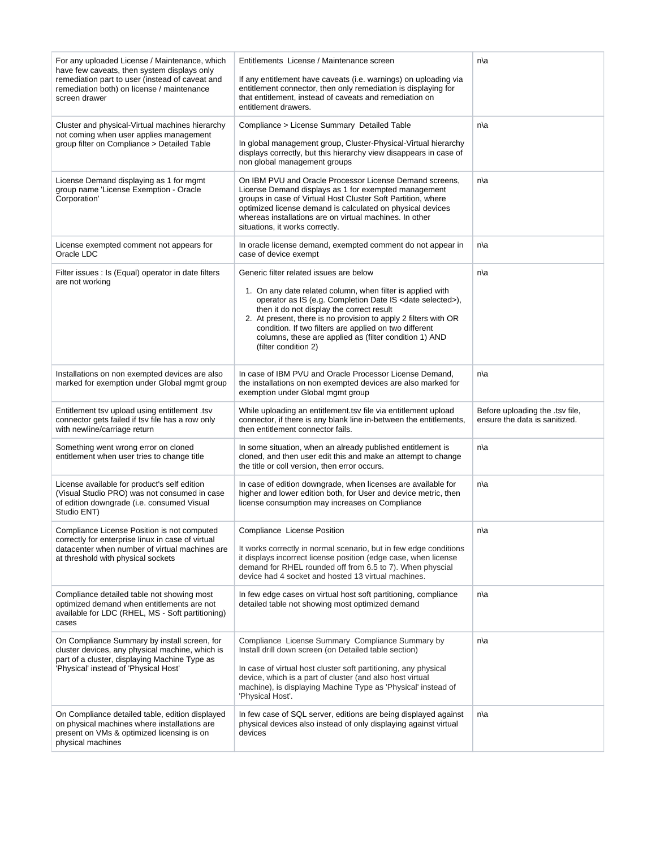| For any uploaded License / Maintenance, which<br>have few caveats, then system displays only<br>remediation part to user (instead of caveat and<br>remediation both) on license / maintenance<br>screen drawer | Entitlements License / Maintenance screen<br>If any entitlement have caveats (i.e. warnings) on uploading via<br>entitlement connector, then only remediation is displaying for<br>that entitlement, instead of caveats and remediation on<br>entitlement drawers.                                                                          | n\a                                                              |
|----------------------------------------------------------------------------------------------------------------------------------------------------------------------------------------------------------------|---------------------------------------------------------------------------------------------------------------------------------------------------------------------------------------------------------------------------------------------------------------------------------------------------------------------------------------------|------------------------------------------------------------------|
| Cluster and physical-Virtual machines hierarchy<br>not coming when user applies management<br>group filter on Compliance > Detailed Table                                                                      | Compliance > License Summary Detailed Table<br>In global management group, Cluster-Physical-Virtual hierarchy<br>displays correctly, but this hierarchy view disappears in case of<br>non global management groups                                                                                                                          | n\a                                                              |
| License Demand displaying as 1 for mgmt<br>group name 'License Exemption - Oracle<br>Corporation'                                                                                                              | On IBM PVU and Oracle Processor License Demand screens,<br>License Demand displays as 1 for exempted management<br>groups in case of Virtual Host Cluster Soft Partition, where<br>optimized license demand is calculated on physical devices<br>whereas installations are on virtual machines. In other<br>situations, it works correctly. | n\a                                                              |
| License exempted comment not appears for<br>Oracle LDC                                                                                                                                                         | In oracle license demand, exempted comment do not appear in<br>case of device exempt                                                                                                                                                                                                                                                        | n\a                                                              |
| Filter issues : Is (Equal) operator in date filters<br>are not working                                                                                                                                         | Generic filter related issues are below<br>1. On any date related column, when filter is applied with                                                                                                                                                                                                                                       | n\a                                                              |
|                                                                                                                                                                                                                | operator as IS (e.g. Completion Date IS <date selected="">),<br/>then it do not display the correct result<br/>2. At present, there is no provision to apply 2 filters with OR<br/>condition. If two filters are applied on two different<br/>columns, these are applied as (filter condition 1) AND<br/>(filter condition 2)</date>        |                                                                  |
| Installations on non exempted devices are also<br>marked for exemption under Global mgmt group                                                                                                                 | In case of IBM PVU and Oracle Processor License Demand,<br>the installations on non exempted devices are also marked for<br>exemption under Global mgmt group                                                                                                                                                                               | n\a                                                              |
|                                                                                                                                                                                                                |                                                                                                                                                                                                                                                                                                                                             |                                                                  |
| Entitlement tsv upload using entitlement .tsv<br>connector gets failed if tsy file has a row only<br>with newline/carriage return                                                                              | While uploading an entitlement tsv file via entitlement upload<br>connector, if there is any blank line in-between the entitlements,<br>then entitlement connector fails.                                                                                                                                                                   | Before uploading the .tsv file,<br>ensure the data is sanitized. |
| Something went wrong error on cloned<br>entitlement when user tries to change title                                                                                                                            | In some situation, when an already published entitlement is<br>cloned, and then user edit this and make an attempt to change<br>the title or coll version, then error occurs.                                                                                                                                                               | n\a                                                              |
| License available for product's self edition<br>(Visual Studio PRO) was not consumed in case<br>of edition downgrade (i.e. consumed Visual<br>Studio ENT)                                                      | In case of edition downgrade, when licenses are available for<br>higher and lower edition both, for User and device metric, then<br>license consumption may increases on Compliance                                                                                                                                                         | n\a                                                              |
| Compliance License Position is not computed<br>correctly for enterprise linux in case of virtual<br>datacenter when number of virtual machines are<br>at threshold with physical sockets                       | Compliance License Position<br>It works correctly in normal scenario, but in few edge conditions<br>it displays incorrect license position (edge case, when license<br>demand for RHEL rounded off from 6.5 to 7). When physcial<br>device had 4 socket and hosted 13 virtual machines.                                                     | n∖a                                                              |
| Compliance detailed table not showing most<br>optimized demand when entitlements are not<br>available for LDC (RHEL, MS - Soft partitioning)<br>cases                                                          | In few edge cases on virtual host soft partitioning, compliance<br>detailed table not showing most optimized demand                                                                                                                                                                                                                         | n∖a                                                              |
| On Compliance Summary by install screen, for<br>cluster devices, any physical machine, which is<br>part of a cluster, displaying Machine Type as<br>'Physical' instead of 'Physical Host'                      | Compliance License Summary Compliance Summary by<br>Install drill down screen (on Detailed table section)<br>In case of virtual host cluster soft partitioning, any physical<br>device, which is a part of cluster (and also host virtual<br>machine), is displaying Machine Type as 'Physical' instead of<br>'Physical Host'.              | n∖a                                                              |